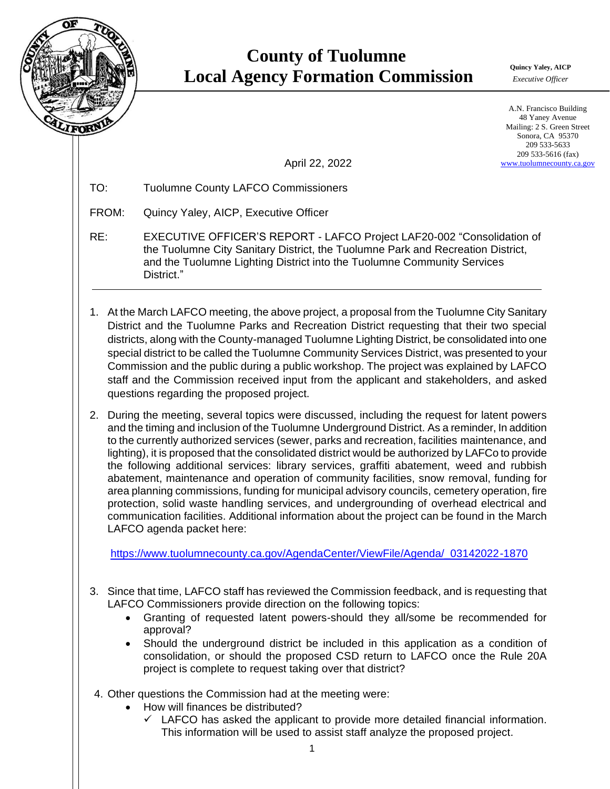

## **County of Tuolumne Local Agency Formation Commission** *Commission*

*Executive Officer*

A.N. Francisco Building 48 Yaney Avenue Mailing: 2 S. Green Street Sonora, CA 95370 209 533-5633 209 533-5616 (fax) [www.tuolumnecounty.ca.gov](http://www.tuolumnecounty.ca.gov/)

April 22, 2022

TO: Tuolumne County LAFCO Commissioners

FROM: Quincy Yaley, AICP, Executive Officer

- RE: EXECUTIVE OFFICER'S REPORT LAFCO Project LAF20-002 "Consolidation of the Tuolumne City Sanitary District, the Tuolumne Park and Recreation District, and the Tuolumne Lighting District into the Tuolumne Community Services District."
- 1. At the March LAFCO meeting, the above project, a proposal from the Tuolumne City Sanitary District and the Tuolumne Parks and Recreation District requesting that their two special districts, along with the County-managed Tuolumne Lighting District, be consolidated into one special district to be called the Tuolumne Community Services District, was presented to your Commission and the public during a public workshop. The project was explained by LAFCO staff and the Commission received input from the applicant and stakeholders, and asked questions regarding the proposed project.
- 2. During the meeting, several topics were discussed, including the request for latent powers and the timing and inclusion of the Tuolumne Underground District. As a reminder, In addition to the currently authorized services (sewer, parks and recreation, facilities maintenance, and lighting), it is proposed that the consolidated district would be authorized by LAFCo to provide the following additional services: library services, graffiti abatement, weed and rubbish abatement, maintenance and operation of community facilities, snow removal, funding for area planning commissions, funding for municipal advisory councils, cemetery operation, fire protection, solid waste handling services, and undergrounding of overhead electrical and communication facilities. Additional information about the project can be found in the March LAFCO agenda packet here:

[https://www.tuolumnecounty.ca.gov/AgendaCenter/ViewFile/Agenda/\\_03142022-1870](https://www.tuolumnecounty.ca.gov/AgendaCenter/ViewFile/Agenda/_03142022-1870)

- 3. Since that time, LAFCO staff has reviewed the Commission feedback, and is requesting that LAFCO Commissioners provide direction on the following topics:
	- Granting of requested latent powers-should they all/some be recommended for approval?
	- Should the underground district be included in this application as a condition of consolidation, or should the proposed CSD return to LAFCO once the Rule 20A project is complete to request taking over that district?
- 4. Other questions the Commission had at the meeting were:
	- How will finances be distributed?
		- $\checkmark$  LAFCO has asked the applicant to provide more detailed financial information. This information will be used to assist staff analyze the proposed project.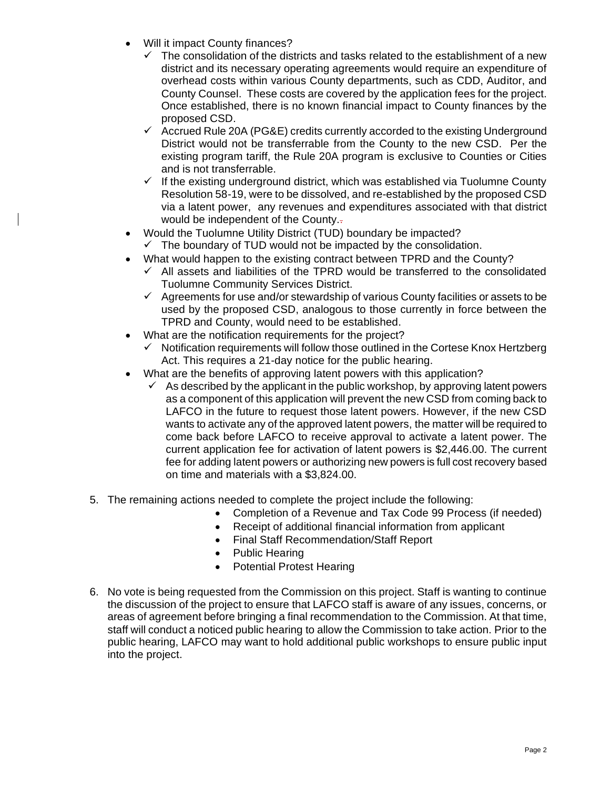- Will it impact County finances?
	- The consolidation of the districts and tasks related to the establishment of a new district and its necessary operating agreements would require an expenditure of overhead costs within various County departments, such as CDD, Auditor, and County Counsel. These costs are covered by the application fees for the project. Once established, there is no known financial impact to County finances by the proposed CSD.
	- $\checkmark$  Accrued Rule 20A (PG&E) credits currently accorded to the existing Underground District would not be transferrable from the County to the new CSD. Per the existing program tariff, the Rule 20A program is exclusive to Counties or Cities and is not transferrable.
	- $\checkmark$  If the existing underground district, which was established via Tuolumne County Resolution 58-19, were to be dissolved, and re-established by the proposed CSD via a latent power, any revenues and expenditures associated with that district would be independent of the County.
- Would the Tuolumne Utility District (TUD) boundary be impacted?
	- $\checkmark$  The boundary of TUD would not be impacted by the consolidation.
- What would happen to the existing contract between TPRD and the County?
	- All assets and liabilities of the TPRD would be transferred to the consolidated Tuolumne Community Services District.
	- $\checkmark$  Agreements for use and/or stewardship of various County facilities or assets to be used by the proposed CSD, analogous to those currently in force between the TPRD and County, would need to be established.
- What are the notification requirements for the project?
	- $\checkmark$  Notification requirements will follow those outlined in the Cortese Knox Hertzberg Act. This requires a 21-day notice for the public hearing.
- What are the benefits of approving latent powers with this application?
	- As described by the applicant in the public workshop, by approving latent powers as a component of this application will prevent the new CSD from coming back to LAFCO in the future to request those latent powers. However, if the new CSD wants to activate any of the approved latent powers, the matter will be required to come back before LAFCO to receive approval to activate a latent power. The current application fee for activation of latent powers is \$2,446.00. The current fee for adding latent powers or authorizing new powers is full cost recovery based on time and materials with a \$3,824.00.
- 5. The remaining actions needed to complete the project include the following:
	- Completion of a Revenue and Tax Code 99 Process (if needed)
	- Receipt of additional financial information from applicant
	- Final Staff Recommendation/Staff Report
	- Public Hearing
	- Potential Protest Hearing
- 6. No vote is being requested from the Commission on this project. Staff is wanting to continue the discussion of the project to ensure that LAFCO staff is aware of any issues, concerns, or areas of agreement before bringing a final recommendation to the Commission. At that time, staff will conduct a noticed public hearing to allow the Commission to take action. Prior to the public hearing, LAFCO may want to hold additional public workshops to ensure public input into the project.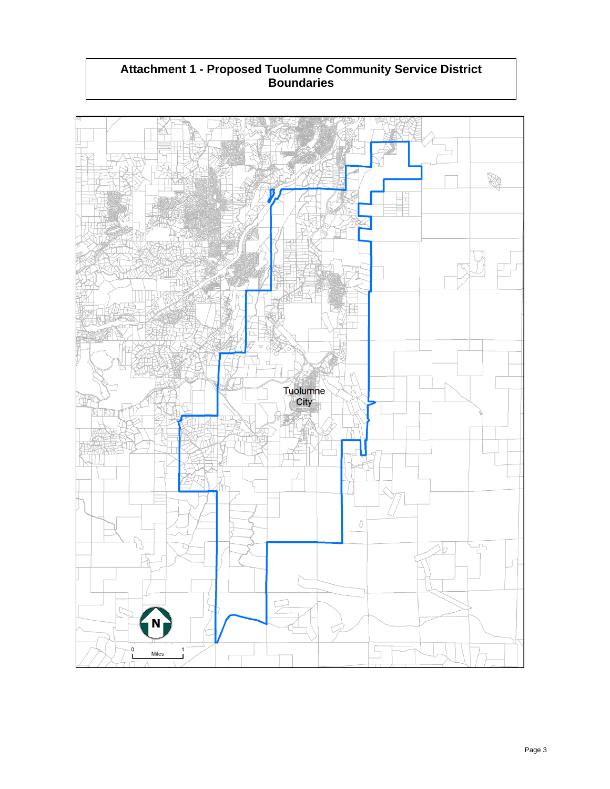## **Attachment 1 - Proposed Tuolumne Community Service District Boundaries**